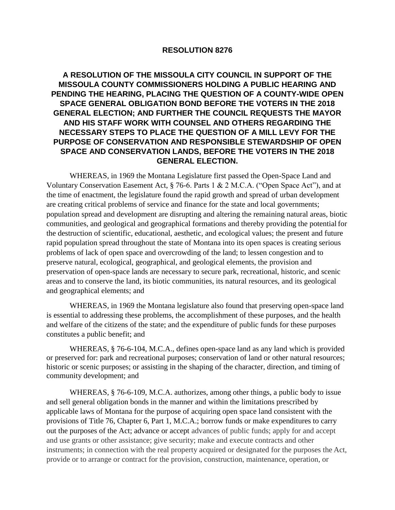# **RESOLUTION 8276**

# **A RESOLUTION OF THE MISSOULA CITY COUNCIL IN SUPPORT OF THE MISSOULA COUNTY COMMISSIONERS HOLDING A PUBLIC HEARING AND PENDING THE HEARING, PLACING THE QUESTION OF A COUNTY-WIDE OPEN SPACE GENERAL OBLIGATION BOND BEFORE THE VOTERS IN THE 2018 GENERAL ELECTION; AND FURTHER THE COUNCIL REQUESTS THE MAYOR AND HIS STAFF WORK WITH COUNSEL AND OTHERS REGARDING THE NECESSARY STEPS TO PLACE THE QUESTION OF A MILL LEVY FOR THE PURPOSE OF CONSERVATION AND RESPONSIBLE STEWARDSHIP OF OPEN SPACE AND CONSERVATION LANDS, BEFORE THE VOTERS IN THE 2018 GENERAL ELECTION.**

WHEREAS, in 1969 the Montana Legislature first passed the Open-Space Land and Voluntary Conservation Easement Act, § 76-6. Parts 1 & 2 M.C.A. ("Open Space Act"), and at the time of enactment, the legislature found the rapid growth and spread of urban development are creating critical problems of service and finance for the state and local governments; population spread and development are disrupting and altering the remaining natural areas, biotic communities, and geological and geographical formations and thereby providing the potential for the destruction of scientific, educational, aesthetic, and ecological values; the present and future rapid population spread throughout the state of Montana into its open spaces is creating serious problems of lack of open space and overcrowding of the land; to lessen congestion and to preserve natural, ecological, geographical, and geological elements, the provision and preservation of open-space lands are necessary to secure park, recreational, historic, and scenic areas and to conserve the land, its biotic communities, its natural resources, and its geological and geographical elements; and

WHEREAS, in 1969 the Montana legislature also found that preserving open-space land is essential to addressing these problems, the accomplishment of these purposes, and the health and welfare of the citizens of the state; and the expenditure of public funds for these purposes constitutes a public benefit; and

WHEREAS, § 76-6-104, M.C.A., defines open-space land as any land which is provided or preserved for: park and recreational purposes; conservation of land or other natural resources; historic or scenic purposes; or assisting in the shaping of the character, direction, and timing of community development; and

WHEREAS, § 76-6-109, M.C.A. authorizes, among other things, a public body to issue and sell general obligation bonds in the manner and within the limitations prescribed by applicable laws of Montana for the purpose of acquiring open space land consistent with the provisions of Title 76, Chapter 6, Part 1, M.C.A.; borrow funds or make expenditures to carry out the purposes of the Act; advance or accept advances of public funds; apply for and accept and use grants or other assistance; give security; make and execute contracts and other instruments; in connection with the real property acquired or designated for the purposes the Act, provide or to arrange or contract for the provision, construction, maintenance, operation, or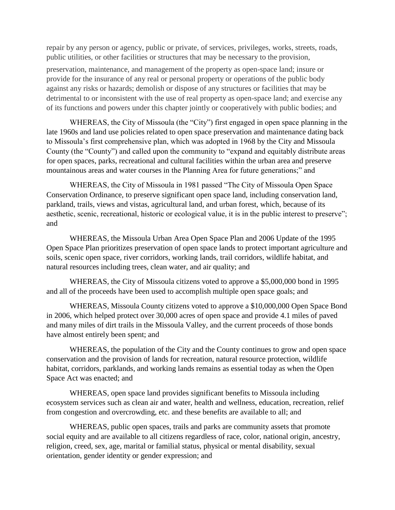repair by any person or agency, public or private, of services, privileges, works, streets, roads, public utilities, or other facilities or structures that may be necessary to the provision,

preservation, maintenance, and management of the property as open-space land; insure or provide for the insurance of any real or personal property or operations of the public body against any risks or hazards; demolish or dispose of any structures or facilities that may be detrimental to or inconsistent with the use of real property as open-space land; and exercise any of its functions and powers under this chapter jointly or cooperatively with public bodies; and

WHEREAS, the City of Missoula (the "City") first engaged in open space planning in the late 1960s and land use policies related to open space preservation and maintenance dating back to Missoula's first comprehensive plan, which was adopted in 1968 by the City and Missoula County (the "County") and called upon the community to "expand and equitably distribute areas for open spaces, parks, recreational and cultural facilities within the urban area and preserve mountainous areas and water courses in the Planning Area for future generations;" and

WHEREAS, the City of Missoula in 1981 passed "The City of Missoula Open Space Conservation Ordinance, to preserve significant open space land, including conservation land, parkland, trails, views and vistas, agricultural land, and urban forest, which, because of its aesthetic, scenic, recreational, historic or ecological value, it is in the public interest to preserve"; and

WHEREAS, the Missoula Urban Area Open Space Plan and 2006 Update of the 1995 Open Space Plan prioritizes preservation of open space lands to protect important agriculture and soils, scenic open space, river corridors, working lands, trail corridors, wildlife habitat, and natural resources including trees, clean water, and air quality; and

WHEREAS, the City of Missoula citizens voted to approve a \$5,000,000 bond in 1995 and all of the proceeds have been used to accomplish multiple open space goals; and

WHEREAS, Missoula County citizens voted to approve a \$10,000,000 Open Space Bond in 2006, which helped protect over 30,000 acres of open space and provide 4.1 miles of paved and many miles of dirt trails in the Missoula Valley, and the current proceeds of those bonds have almost entirely been spent; and

WHEREAS, the population of the City and the County continues to grow and open space conservation and the provision of lands for recreation, natural resource protection, wildlife habitat, corridors, parklands, and working lands remains as essential today as when the Open Space Act was enacted; and

WHEREAS, open space land provides significant benefits to Missoula including ecosystem services such as clean air and water, health and wellness, education, recreation, relief from congestion and overcrowding, etc. and these benefits are available to all; and

WHEREAS, public open spaces, trails and parks are community assets that promote social equity and are available to all citizens regardless of race, color, national origin, ancestry, religion, creed, sex, age, marital or familial status, physical or mental disability, sexual orientation, gender identity or gender expression; and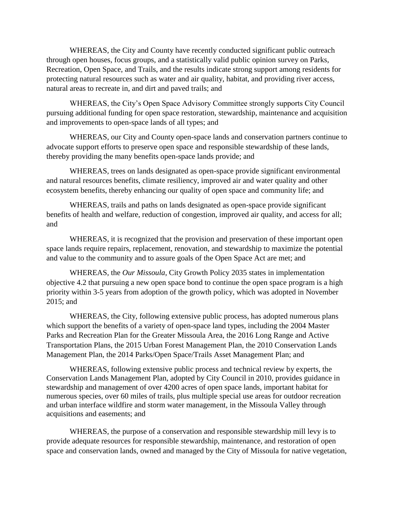WHEREAS, the City and County have recently conducted significant public outreach through open houses, focus groups, and a statistically valid public opinion survey on Parks, Recreation, Open Space, and Trails, and the results indicate strong support among residents for protecting natural resources such as water and air quality, habitat, and providing river access, natural areas to recreate in, and dirt and paved trails; and

WHEREAS, the City's Open Space Advisory Committee strongly supports City Council pursuing additional funding for open space restoration, stewardship, maintenance and acquisition and improvements to open-space lands of all types; and

WHEREAS, our City and County open-space lands and conservation partners continue to advocate support efforts to preserve open space and responsible stewardship of these lands, thereby providing the many benefits open-space lands provide; and

WHEREAS, trees on lands designated as open-space provide significant environmental and natural resources benefits, climate resiliency, improved air and water quality and other ecosystem benefits, thereby enhancing our quality of open space and community life; and

WHEREAS, trails and paths on lands designated as open-space provide significant benefits of health and welfare, reduction of congestion, improved air quality, and access for all; and

WHEREAS, it is recognized that the provision and preservation of these important open space lands require repairs, replacement, renovation, and stewardship to maximize the potential and value to the community and to assure goals of the Open Space Act are met; and

WHEREAS, the *Our Missoula*, City Growth Policy 2035 states in implementation objective 4.2 that pursuing a new open space bond to continue the open space program is a high priority within 3-5 years from adoption of the growth policy, which was adopted in November 2015; and

WHEREAS, the City, following extensive public process, has adopted numerous plans which support the benefits of a variety of open-space land types, including the 2004 Master Parks and Recreation Plan for the Greater Missoula Area, the 2016 Long Range and Active Transportation Plans, the 2015 Urban Forest Management Plan, the 2010 Conservation Lands Management Plan, the 2014 Parks/Open Space/Trails Asset Management Plan; and

WHEREAS, following extensive public process and technical review by experts, the Conservation Lands Management Plan, adopted by City Council in 2010, provides guidance in stewardship and management of over 4200 acres of open space lands, important habitat for numerous species, over 60 miles of trails, plus multiple special use areas for outdoor recreation and urban interface wildfire and storm water management, in the Missoula Valley through acquisitions and easements; and

WHEREAS, the purpose of a conservation and responsible stewardship mill levy is to provide adequate resources for responsible stewardship, maintenance, and restoration of open space and conservation lands, owned and managed by the City of Missoula for native vegetation,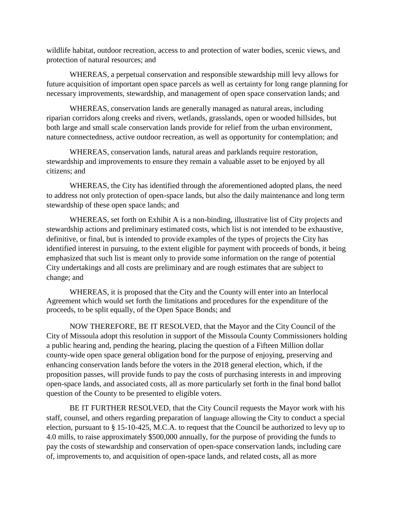wildlife habitat, outdoor recreation, access to and protection of water bodies, scenic views, and protection of natural resources; and

WHEREAS, a perpetual conservation and responsible stewardship mill levy allows for future acquisition of important open space parcels as well as certainty for long range planning for necessary improvements, stewardship, and management of open space conservation lands; and

WHEREAS, conservation lands are generally managed as natural areas, including riparian corridors along creeks and rivers, wetlands, grasslands, open or wooded hillsides, but both large and small scale conservation lands provide for relief from the urban environment, nature connectedness, active outdoor recreation, as well as opportunity for contemplation; and

WHEREAS, conservation lands, natural areas and parklands require restoration, stewardship and improvements to ensure they remain a valuable asset to be enjoyed by all citizens; and

WHEREAS, the City has identified through the aforementioned adopted plans, the need to address not only protection of open-space lands, but also the daily maintenance and long term stewardship of these open space lands; and

WHEREAS, set forth on Exhibit A is a non-binding, illustrative list of City projects and stewardship actions and preliminary estimated costs, which list is not intended to be exhaustive, definitive, or final, but is intended to provide examples of the types of projects the City has identified interest in pursuing, to the extent eligible for payment with proceeds of bonds, it being emphasized that such list is meant only to provide some information on the range of potential City undertakings and all costs are preliminary and are rough estimates that are subject to change; and

WHEREAS, it is proposed that the City and the County will enter into an Interlocal Agreement which would set forth the limitations and procedures for the expenditure of the proceeds, to be split equally, of the Open Space Bonds; and

NOW THEREFORE, BE IT RESOLVED, that the Mayor and the City Council of the City of Missoula adopt this resolution in support of the Missoula County Commissioners holding a public hearing and, pending the hearing, placing the question of a Fifteen Million dollar county-wide open space general obligation bond for the purpose of enjoying, preserving and enhancing conservation lands before the voters in the 2018 general election, which, if the proposition passes, will provide funds to pay the costs of purchasing interests in and improving open-space lands, and associated costs, all as more particularly set forth in the final bond ballot question of the County to be presented to eligible voters.

BE IT FURTHER RESOLVED, that the City Council requests the Mayor work with his staff, counsel, and others regarding preparation of language allowing the City to conduct a special election, pursuant to § 15-10-425, M.C.A. to request that the Council be authorized to levy up to 4.0 mills, to raise approximately \$500,000 annually, for the purpose of providing the funds to pay the costs of stewardship and conservation of open-space conservation lands, including care of, improvements to, and acquisition of open-space lands, and related costs, all as more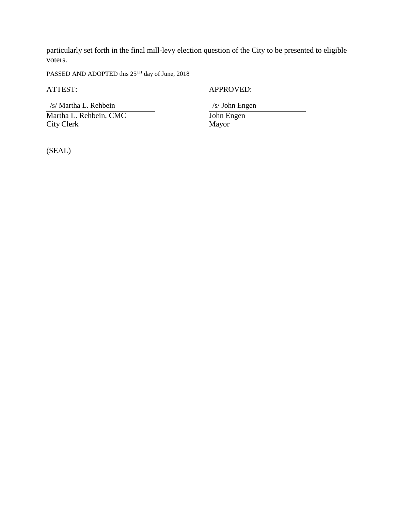particularly set forth in the final mill-levy election question of the City to be presented to eligible voters.

PASSED AND ADOPTED this 25TH day of June, 2018

 /s/ Martha L. Rehbein /s/ John Engen Martha L. Rehbein, CMC<br>
City Clerk<br>
Mayor<br>
Mayor City Clerk

ATTEST: APPROVED:

(SEAL)